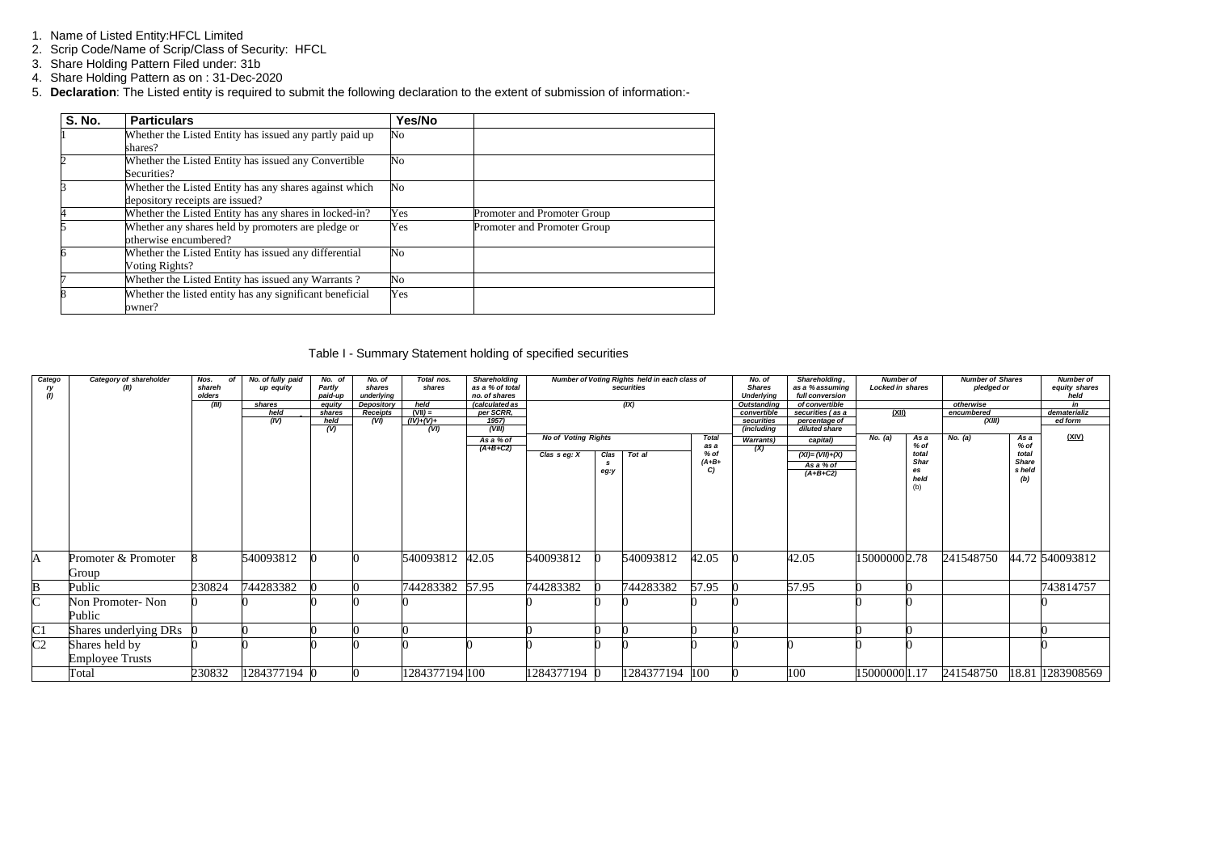- 1. Name of Listed Entity:HFCL Limited
- 2. Scrip Code/Name of Scrip/Class of Security: HFCL
- 3. Share Holding Pattern Filed under: 31b
- 4. Share Holding Pattern as on : 31-Dec-2020
- 5. **Declaration**: The Listed entity is required to submit the following declaration to the extent of submission of information:-

| <b>S. No.</b> | <b>Particulars</b>                                                                        | Yes/No |                             |
|---------------|-------------------------------------------------------------------------------------------|--------|-----------------------------|
|               | Whether the Listed Entity has issued any partly paid up<br>shares?                        | No     |                             |
|               | Whether the Listed Entity has issued any Convertible<br>Securities?                       | No     |                             |
|               | Whether the Listed Entity has any shares against which<br>depository receipts are issued? | No     |                             |
|               | Whether the Listed Entity has any shares in locked-in?                                    | Yes    | Promoter and Promoter Group |
|               | Whether any shares held by promoters are pledge or<br>otherwise encumbered?               | Yes    | Promoter and Promoter Group |
|               | Whether the Listed Entity has issued any differential<br>Voting Rights?                   | No     |                             |
|               | Whether the Listed Entity has issued any Warrants?                                        | No     |                             |
| 8             | Whether the listed entity has any significant beneficial<br>owner?                        | Yes    |                             |

### Table I - Summary Statement holding of specified securities

| Catego             | Category of shareholder | Nos.<br>оf | No. of fully paid | No. of      | No. of     | Total nos.      | Shareholding    |                            |      | Number of Voting Rights held in each class of |              | No. of                   | Shareholding,                  | <b>Number of</b> |                | <b>Number of Shares</b> |              | <b>Number of</b> |
|--------------------|-------------------------|------------|-------------------|-------------|------------|-----------------|-----------------|----------------------------|------|-----------------------------------------------|--------------|--------------------------|--------------------------------|------------------|----------------|-------------------------|--------------|------------------|
|                    | (II)                    | shareh     | up equity         | Partly      | shares     | shares          | as a % of total |                            |      | securities                                    |              | <b>Shares</b>            | as a % assuming                | Locked in shares |                | pledged or              |              | equity shares    |
|                    |                         | olders     |                   | paid-up     | underlying |                 | no. of shares   |                            |      |                                               |              | <b>Underlying</b>        | full conversion                |                  |                |                         |              | held             |
|                    |                         | (III)      | shares            | equity      | Depository | held            | (calculated as  |                            |      | (IX)                                          |              | Outstanding              | of convertible                 |                  |                | otherwise               |              | in               |
|                    |                         |            | held              | shares      | Receipts   | $(VII) =$       | per SCRR,       |                            |      |                                               |              | convertible              | securities (as a               | <u>(XII)</u>     |                | encumbered              |              | dematerializ     |
|                    |                         |            | (IV)              | held<br>(V) | (VI)       | $(IV)+(V)+$     | 1957)           |                            |      |                                               |              | securities<br>(including | percentage of<br>diluted share |                  |                | (XIII)                  |              | ed form          |
|                    |                         |            |                   |             |            | (VI)            | (VIII)          | <b>No of Voting Rights</b> |      |                                               | <b>Total</b> |                          |                                | No. (a)          |                | No. (a)                 | As a         | (XIV)            |
|                    |                         |            |                   |             |            |                 | As a % of       |                            |      |                                               | as a         | <b>Warrants</b> )        | capital)                       |                  | As a<br>$%$ of |                         | % of         |                  |
|                    |                         |            |                   |             |            |                 | $(A+B+C2)$      | Clas $s$ eg: $X$           | Clas | Tot al                                        | % of         | (X)                      | $(XI) = (VII) + (X)$           |                  | total          |                         | total        |                  |
|                    |                         |            |                   |             |            |                 |                 |                            | s.   |                                               | $(A + B +$   |                          | As a % of                      |                  | <b>Shar</b>    |                         | <b>Share</b> |                  |
|                    |                         |            |                   |             |            |                 |                 |                            | eg:y |                                               | C            |                          | $(A+B+C2)$                     |                  | es             |                         | s held       |                  |
|                    |                         |            |                   |             |            |                 |                 |                            |      |                                               |              |                          |                                |                  | held           |                         | (b)          |                  |
|                    |                         |            |                   |             |            |                 |                 |                            |      |                                               |              |                          |                                |                  | (b)            |                         |              |                  |
|                    |                         |            |                   |             |            |                 |                 |                            |      |                                               |              |                          |                                |                  |                |                         |              |                  |
|                    |                         |            |                   |             |            |                 |                 |                            |      |                                               |              |                          |                                |                  |                |                         |              |                  |
|                    |                         |            |                   |             |            |                 |                 |                            |      |                                               |              |                          |                                |                  |                |                         |              |                  |
|                    |                         |            |                   |             |            |                 |                 |                            |      |                                               |              |                          |                                |                  |                |                         |              |                  |
|                    |                         |            |                   |             |            |                 |                 |                            |      |                                               |              |                          |                                |                  |                |                         |              |                  |
|                    |                         |            |                   |             |            |                 |                 |                            |      |                                               |              |                          |                                |                  |                |                         |              |                  |
|                    |                         |            |                   |             |            |                 |                 |                            |      |                                               |              |                          |                                |                  |                |                         |              |                  |
| A                  | Promoter & Promoter     |            | 540093812         |             |            | 540093812 42.05 |                 | 540093812                  |      | 540093812                                     | 42.05        |                          | 42.05                          | 15000000 2.78    |                | 241548750               |              | 44.72 540093812  |
|                    |                         |            |                   |             |            |                 |                 |                            |      |                                               |              |                          |                                |                  |                |                         |              |                  |
|                    | Group                   |            |                   |             |            |                 |                 |                            |      |                                               |              |                          |                                |                  |                |                         |              |                  |
| B                  | Public                  | 230824     | 744283382         |             |            | 744283382       | 57.95           | 744283382                  |      | 744283382                                     | 57.95        |                          | 57.95                          |                  |                |                         |              | 743814757        |
| $\overline{\rm C}$ | Non Promoter-Non        |            |                   |             |            |                 |                 |                            |      |                                               |              |                          |                                |                  |                |                         |              |                  |
|                    |                         |            |                   |             |            |                 |                 |                            |      |                                               |              |                          |                                |                  |                |                         |              |                  |
|                    | Public                  |            |                   |             |            |                 |                 |                            |      |                                               |              |                          |                                |                  |                |                         |              |                  |
| C1                 | Shares underlying DRs   |            |                   |             |            |                 |                 |                            |      |                                               |              |                          |                                |                  |                |                         |              |                  |
| $\overline{C2}$    | Shares held by          |            |                   |             |            |                 |                 |                            |      |                                               |              |                          |                                |                  |                |                         |              |                  |
|                    | <b>Employee Trusts</b>  |            |                   |             |            |                 |                 |                            |      |                                               |              |                          |                                |                  |                |                         |              |                  |
|                    | Total                   | 230832     | 1284377194        |             |            | 1284377194 100  |                 | 1284377194 0               |      | 1284377194 100                                |              |                          | 100                            | 15000000 1.17    |                | 241548750               |              | 18.81 1283908569 |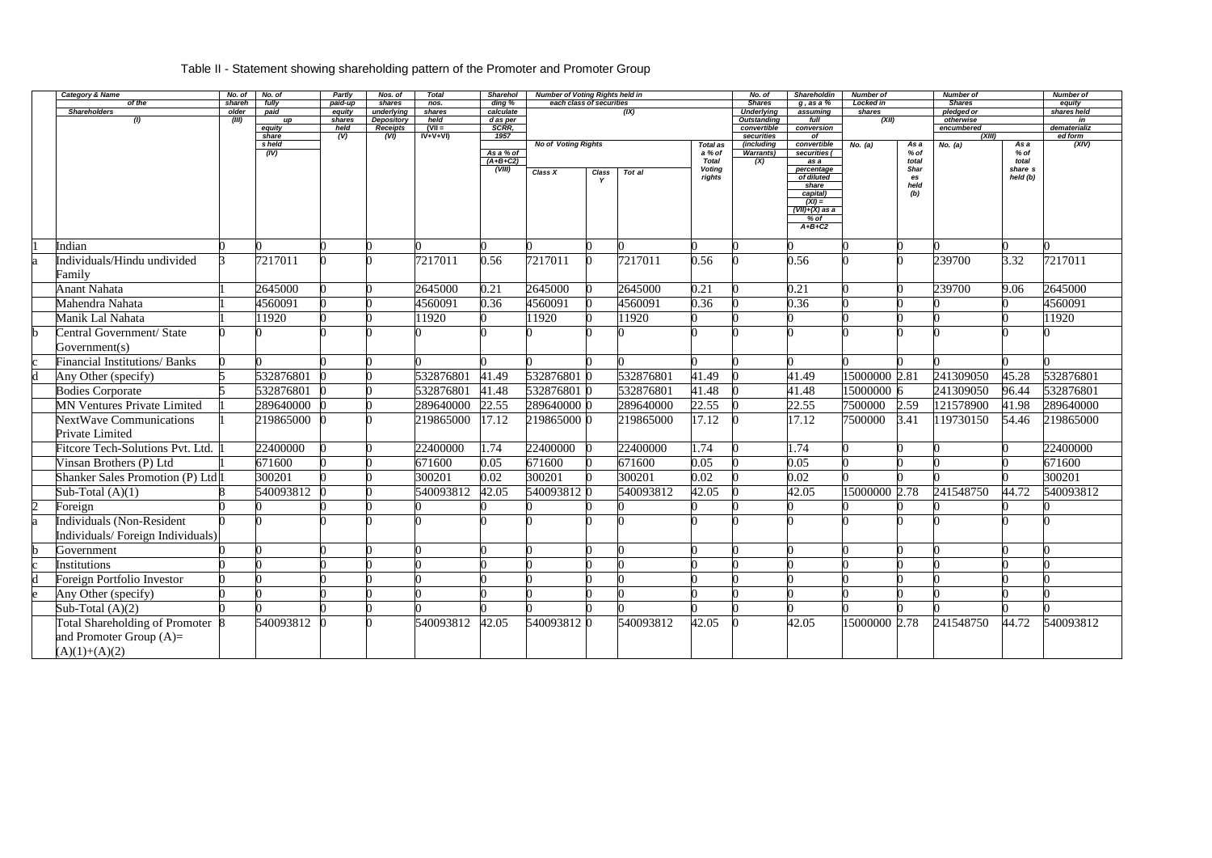## Table II - Statement showing shareholding pattern of the Promoter and Promoter Group

|                         | <b>Category &amp; Name</b>              | No. of          | No. of          | Partly            | Nos. of              | <b>Total</b>   | <b>Sharehol</b>                  | <b>Number of Voting Rights held in</b> |                          |           |                 | No. of                             | Shareholdin                             | <b>Number of</b>    |            | <b>Number of</b>            |          | <b>Number of</b>      |
|-------------------------|-----------------------------------------|-----------------|-----------------|-------------------|----------------------|----------------|----------------------------------|----------------------------------------|--------------------------|-----------|-----------------|------------------------------------|-----------------------------------------|---------------------|------------|-----------------------------|----------|-----------------------|
|                         | of the<br><b>Shareholders</b>           | shareh<br>older | fully<br>paid   | paid-up<br>equity | shares<br>underlying | nos.<br>shares | $\overline{ding}$ %<br>calculate |                                        | each class of securities | (X)       |                 | <b>Shares</b><br><b>Underlying</b> | $g$ , as a $%$<br>assuming              | Locked in<br>shares |            | <b>Shares</b><br>pledged or |          | equity<br>shares held |
|                         | (1)                                     | (III)           | up              | shares            | Depository           | held           | d as per                         |                                        |                          |           |                 | <b>Outstanding</b>                 | full                                    | (XII)               |            | otherwise                   |          | in                    |
|                         |                                         |                 | equity          | held              | Receipts             | $(VII =$       | SCRR,                            |                                        |                          |           |                 | convertible                        | conversion                              |                     |            | encumbered                  |          | dematerializ          |
|                         |                                         |                 | share<br>s held | (V)               | (VI)                 | $IV+V+VI$      | 1957                             | <b>No of Voting Rights</b>             |                          |           | <b>Total as</b> | securities<br>(including           | of<br>convertible                       | No. (a)             | As a       | (XIII)<br>No. (a)           | As a     | ed form<br>(XIV)      |
|                         |                                         |                 | (IV)            |                   |                      |                | As a % of                        |                                        |                          |           | a % of          | <b>Warrants)</b>                   | securities (                            |                     | % of       |                             | % of     |                       |
|                         |                                         |                 |                 |                   |                      |                | $(A+B+C2)$                       |                                        |                          |           | <b>Total</b>    | (X)                                | as a                                    |                     | total      |                             | total    |                       |
|                         |                                         |                 |                 |                   |                      |                | (VIII)                           | Class X                                | Class                    | Tot al    | <b>Voting</b>   |                                    | percentage                              |                     | Shar       |                             | share s  |                       |
|                         |                                         |                 |                 |                   |                      |                |                                  |                                        |                          |           | rights          |                                    | of diluted<br>share                     |                     | es<br>held |                             | held (b) |                       |
|                         |                                         |                 |                 |                   |                      |                |                                  |                                        |                          |           |                 |                                    | capital)                                |                     | (b)        |                             |          |                       |
|                         |                                         |                 |                 |                   |                      |                |                                  |                                        |                          |           |                 |                                    | $(XI) =$<br>$\overline{(VII)+(X)}$ as a |                     |            |                             |          |                       |
|                         |                                         |                 |                 |                   |                      |                |                                  |                                        |                          |           |                 |                                    | $%$ of                                  |                     |            |                             |          |                       |
|                         |                                         |                 |                 |                   |                      |                |                                  |                                        |                          |           |                 |                                    | $A+B+C2$                                |                     |            |                             |          |                       |
|                         |                                         |                 |                 |                   |                      |                |                                  |                                        |                          |           |                 |                                    |                                         |                     |            |                             |          |                       |
|                         | Indian                                  |                 |                 |                   |                      |                |                                  |                                        |                          |           |                 |                                    |                                         |                     |            |                             |          |                       |
|                         | Individuals/Hindu undivided             |                 | 7217011         |                   |                      | 7217011        | 0.56                             | 7217011                                | $\Omega$                 | 7217011   | 0.56            |                                    | 0.56                                    |                     |            | 239700                      | 3.32     | 7217011               |
|                         | Family                                  |                 |                 |                   |                      |                |                                  |                                        |                          |           |                 |                                    |                                         |                     |            |                             |          |                       |
|                         | <b>Anant Nahata</b>                     |                 | 2645000         |                   |                      | 2645000        | 0.21                             | 2645000                                |                          | 2645000   | 0.21            |                                    | 0.21                                    |                     |            | 239700                      | 9.06     | 2645000               |
|                         | Mahendra Nahata                         |                 | 4560091         |                   |                      | 4560091        | 0.36                             | 4560091                                |                          | 4560091   | 0.36            |                                    | 0.36                                    |                     |            |                             |          | 4560091               |
|                         | Manik Lal Nahata                        |                 | 1920            |                   |                      | 11920          |                                  | 11920                                  |                          | 11920     |                 |                                    |                                         |                     |            |                             |          | 11920                 |
|                         | Central Government/ State               |                 |                 |                   |                      |                |                                  |                                        |                          |           |                 |                                    |                                         |                     |            |                             |          |                       |
|                         | Government(s)                           |                 |                 |                   |                      |                |                                  |                                        |                          |           |                 |                                    |                                         |                     |            |                             |          |                       |
|                         | <b>Financial Institutions/ Banks</b>    |                 |                 |                   |                      |                |                                  |                                        |                          |           |                 |                                    |                                         |                     |            |                             |          |                       |
|                         | Any Other (specify)                     |                 | 532876801       |                   |                      | 532876801      | 41.49                            | 532876801 0                            |                          | 532876801 | 41.49           |                                    | 41.49                                   | 15000000 2.81       |            | 241309050                   | 45.28    | 532876801             |
|                         | <b>Bodies Corporate</b>                 |                 | 532876801       |                   |                      | 532876801      | 41.48                            | 532876801 0                            |                          | 532876801 | 41.48           |                                    | 41.48                                   | 15000000 6          |            | 241309050                   | 96.44    | 532876801             |
|                         | <b>MN Ventures Private Limited</b>      |                 | 289640000       |                   |                      | 289640000      | 22.55                            | 289640000 0                            |                          | 289640000 | 22.55           |                                    | 22.55                                   | 7500000             | 2.59       | 121578900                   | 41.98    | 289640000             |
|                         | <b>NextWave Communications</b>          |                 | 219865000       |                   |                      | 219865000      | 17.12                            | 219865000 0                            |                          | 219865000 | 17.12           |                                    | 17.12                                   | 7500000             | 3.41       | 119730150                   | 54.46    | 219865000             |
|                         | Private Limited                         |                 |                 |                   |                      |                |                                  |                                        |                          |           |                 |                                    |                                         |                     |            |                             |          |                       |
|                         | <b>Fitcore Tech-Solutions Pvt. Ltd.</b> |                 | 22400000        |                   |                      | 22400000       | 1.74                             | 22400000                               |                          | 22400000  | 1.74            |                                    | 1.74                                    |                     |            |                             |          | 22400000              |
|                         | Vinsan Brothers (P) Ltd                 |                 | 671600          |                   |                      | 671600         | 0.05                             | 671600                                 |                          | 671600    | 0.05            |                                    | 0.05                                    |                     |            |                             |          | 671600                |
|                         | Shanker Sales Promotion (P) Ltd         |                 | 300201          |                   |                      | 300201         | 0.02                             | 300201                                 |                          | 300201    | 0.02            |                                    | 0.02                                    |                     |            |                             |          | 300201                |
|                         | Sub-Total $(A)(1)$                      |                 | 540093812       |                   |                      | 540093812      | 42.05                            | 540093812 0                            |                          | 540093812 | 42.05           |                                    | 42.05                                   | 15000000 2.78       |            | 241548750                   | 44.72    | 540093812             |
|                         | Foreign                                 |                 |                 |                   |                      |                |                                  |                                        |                          |           |                 |                                    |                                         |                     |            |                             |          |                       |
|                         | Individuals (Non-Resident               |                 |                 |                   |                      |                |                                  |                                        |                          |           |                 |                                    |                                         |                     |            |                             |          |                       |
|                         | Individuals/Foreign Individuals)        |                 |                 |                   |                      |                |                                  |                                        |                          |           |                 |                                    |                                         |                     |            |                             |          |                       |
|                         | Government                              |                 | O               |                   |                      |                |                                  |                                        |                          |           |                 |                                    |                                         |                     |            |                             |          |                       |
|                         | Institutions                            |                 |                 |                   |                      |                |                                  |                                        |                          |           |                 |                                    |                                         |                     |            |                             |          |                       |
| $\overline{\mathrm{d}}$ | Foreign Portfolio Investor              |                 |                 |                   |                      |                |                                  |                                        |                          |           |                 |                                    |                                         |                     |            |                             |          |                       |
|                         | Any Other (specify)                     |                 |                 |                   |                      |                |                                  |                                        |                          |           |                 |                                    |                                         |                     |            |                             |          |                       |
|                         | Sub-Total $(A)(2)$                      |                 |                 |                   |                      |                |                                  |                                        |                          |           |                 |                                    |                                         |                     |            |                             |          |                       |
|                         | Total Shareholding of Promoter 8        |                 | 540093812       |                   |                      | 540093812      | 42.05                            | 5400938120                             |                          | 540093812 | 42.05           |                                    | 42.05                                   | 15000000 2.78       |            | 241548750                   | 44.72    | 540093812             |
|                         | and Promoter Group $(A)=$               |                 |                 |                   |                      |                |                                  |                                        |                          |           |                 |                                    |                                         |                     |            |                             |          |                       |
|                         | $(A)(1)+(A)(2)$                         |                 |                 |                   |                      |                |                                  |                                        |                          |           |                 |                                    |                                         |                     |            |                             |          |                       |
|                         |                                         |                 |                 |                   |                      |                |                                  |                                        |                          |           |                 |                                    |                                         |                     |            |                             |          |                       |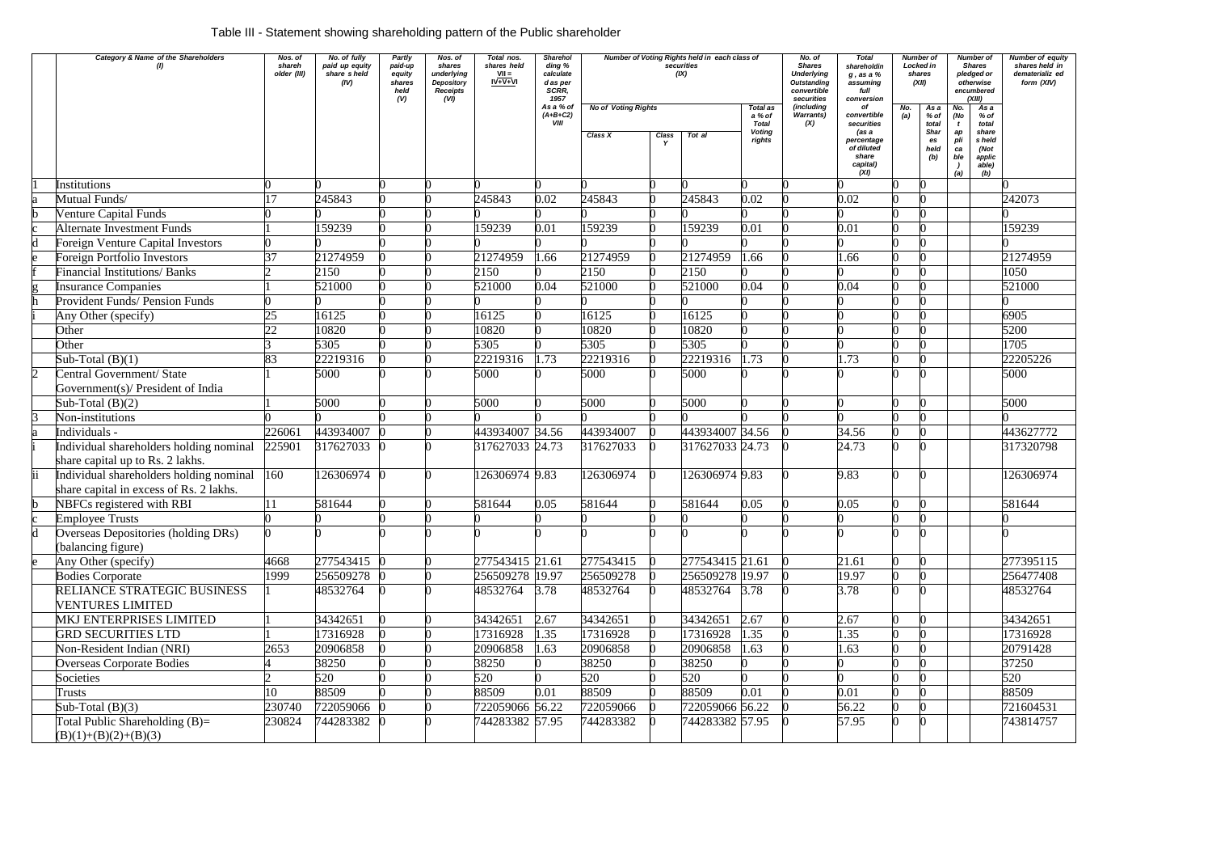# Table III - Statement showing shareholding pattern of the Public shareholder

| Category & Name of the Shareholders                                                | Nos. of<br>shareh<br>older (III) | No. of fully<br>paid up equity<br>share sheld<br>(IV) | Partly<br>paid-up<br>equity<br>shares<br>held<br>(V) | Nos. of<br>shares<br>underlying<br>Depository<br><b>Receipts</b><br>(VI) | Total nos.<br>shares held<br>$VII =$<br>$IV+V+VI$ | Sharehol<br>ding %<br>calculate<br>d as per<br>SCRR,<br>1957 |           | Number of Voting Rights held in each class of<br>securities<br>(IX)<br><b>No of Voting Rights</b><br>Total as |                 |                                            | No. of<br><b>Shares</b><br><b>Underlying</b><br><b>Outstanding</b><br>convertible<br>securities | <b>Total</b><br>shareholdin<br>$g$ , as a $%$<br>assuming<br>full<br>conversion                   | <b>Number</b> of<br>Locked in<br>shares<br>(XII)<br>As a<br>No. |                                                   | <b>Number of</b><br>Shares<br>pledged or<br>otherwise<br>encumbered<br>(XIII)<br>As a |                                                                    | Number of equity<br>shares held in<br>dematerializ ed<br>form (XIV) |
|------------------------------------------------------------------------------------|----------------------------------|-------------------------------------------------------|------------------------------------------------------|--------------------------------------------------------------------------|---------------------------------------------------|--------------------------------------------------------------|-----------|---------------------------------------------------------------------------------------------------------------|-----------------|--------------------------------------------|-------------------------------------------------------------------------------------------------|---------------------------------------------------------------------------------------------------|-----------------------------------------------------------------|---------------------------------------------------|---------------------------------------------------------------------------------------|--------------------------------------------------------------------|---------------------------------------------------------------------|
|                                                                                    |                                  |                                                       |                                                      |                                                                          |                                                   | As a % of<br>$(A+B+C2)$<br><b>VIII</b>                       | Class X   | Class                                                                                                         | Tot al          | a % of<br><b>Total</b><br>Voting<br>rights | (including<br><b>Warrants</b> )<br>(X)                                                          | of<br>convertible<br>securities<br>(as a<br>percentage<br>of diluted<br>share<br>capital)<br>(XI) | (a)                                                             | % of<br>total<br><b>Shar</b><br>es<br>held<br>(b) | No.<br>(No<br>t<br>ap<br>pli<br>ca<br>ble<br>(a)                                      | % of<br>total<br>share<br>s held<br>(Not<br>applic<br>able)<br>(b) |                                                                     |
| Institutions                                                                       |                                  |                                                       |                                                      |                                                                          |                                                   |                                                              |           |                                                                                                               |                 |                                            |                                                                                                 |                                                                                                   |                                                                 |                                                   |                                                                                       |                                                                    |                                                                     |
| Mutual Funds/                                                                      |                                  | 245843                                                |                                                      |                                                                          | 245843                                            | 0.02                                                         | 245843    |                                                                                                               | 245843          | 0.02                                       |                                                                                                 | 0.02                                                                                              |                                                                 |                                                   |                                                                                       |                                                                    | 242073                                                              |
| <b>Venture Capital Funds</b>                                                       |                                  |                                                       |                                                      |                                                                          |                                                   |                                                              |           |                                                                                                               |                 |                                            |                                                                                                 |                                                                                                   |                                                                 |                                                   |                                                                                       |                                                                    |                                                                     |
| Alternate Investment Funds                                                         |                                  | 159239                                                |                                                      |                                                                          | 159239                                            | 0.01                                                         | 159239    |                                                                                                               | 159239          | 0.01                                       |                                                                                                 | 0.01                                                                                              |                                                                 |                                                   |                                                                                       |                                                                    | 159239                                                              |
| <b>Foreign Venture Capital Investors</b>                                           |                                  |                                                       |                                                      |                                                                          |                                                   |                                                              |           |                                                                                                               |                 |                                            |                                                                                                 |                                                                                                   |                                                                 |                                                   |                                                                                       |                                                                    |                                                                     |
| <b>Foreign Portfolio Investors</b>                                                 | 37                               | 21274959                                              |                                                      |                                                                          | 21274959                                          | .66                                                          | 21274959  |                                                                                                               | 21274959        | 1.66                                       |                                                                                                 | 1.66                                                                                              |                                                                 |                                                   |                                                                                       |                                                                    | 21274959                                                            |
| <b>Financial Institutions/ Banks</b>                                               |                                  | 2150                                                  |                                                      |                                                                          | 2150                                              |                                                              | 2150      |                                                                                                               | 2150            |                                            |                                                                                                 |                                                                                                   |                                                                 |                                                   |                                                                                       |                                                                    | 1050                                                                |
| <b>Insurance Companies</b>                                                         |                                  | 521000                                                |                                                      |                                                                          | 521000                                            | 0.04                                                         | 521000    |                                                                                                               | 521000          | 0.04                                       |                                                                                                 | 0.04                                                                                              |                                                                 |                                                   |                                                                                       |                                                                    | 521000                                                              |
| <b>Provident Funds/ Pension Funds</b>                                              |                                  |                                                       |                                                      |                                                                          |                                                   |                                                              |           |                                                                                                               |                 |                                            |                                                                                                 |                                                                                                   |                                                                 |                                                   |                                                                                       |                                                                    |                                                                     |
| Any Other (specify)                                                                | 25                               | 16125                                                 |                                                      |                                                                          | 16125                                             |                                                              | 16125     |                                                                                                               | 16125           |                                            |                                                                                                 |                                                                                                   |                                                                 |                                                   |                                                                                       |                                                                    | 6905                                                                |
| Other                                                                              | 22                               | 10820                                                 |                                                      |                                                                          | 10820                                             |                                                              | 10820     |                                                                                                               | 10820           |                                            |                                                                                                 |                                                                                                   |                                                                 |                                                   |                                                                                       |                                                                    | 5200                                                                |
| Other                                                                              |                                  | 5305                                                  |                                                      |                                                                          | 5305                                              |                                                              | 5305      |                                                                                                               | 5305            |                                            |                                                                                                 |                                                                                                   |                                                                 |                                                   |                                                                                       |                                                                    | 1705                                                                |
| Sub-Total $(B)(1)$                                                                 | 83                               | 22219316                                              |                                                      |                                                                          | 22219316                                          | 1.73                                                         | 22219316  |                                                                                                               | 22219316        | 1.73                                       |                                                                                                 | 1.73                                                                                              |                                                                 |                                                   |                                                                                       |                                                                    | 22205226                                                            |
| Central Government/ State<br>Government(s)/ President of India                     |                                  | 5000                                                  |                                                      |                                                                          | 5000                                              |                                                              | 5000      |                                                                                                               | 5000            |                                            |                                                                                                 |                                                                                                   |                                                                 |                                                   |                                                                                       |                                                                    | 5000                                                                |
| Sub-Total $(B)(2)$                                                                 |                                  | 5000                                                  |                                                      |                                                                          | 5000                                              |                                                              | 5000      |                                                                                                               | 5000            |                                            |                                                                                                 |                                                                                                   |                                                                 |                                                   |                                                                                       |                                                                    | 5000                                                                |
| Non-institutions                                                                   |                                  |                                                       |                                                      |                                                                          |                                                   |                                                              |           |                                                                                                               |                 |                                            |                                                                                                 |                                                                                                   |                                                                 |                                                   |                                                                                       |                                                                    |                                                                     |
| Individuals -                                                                      | 226061                           | 443934007                                             |                                                      |                                                                          | 443934007 34.56                                   |                                                              | 443934007 |                                                                                                               | 443934007 34.56 |                                            |                                                                                                 | 34.56                                                                                             |                                                                 |                                                   |                                                                                       |                                                                    | 443627772                                                           |
| Individual shareholders holding nominal<br>share capital up to Rs. 2 lakhs.        | 225901                           | 317627033                                             |                                                      |                                                                          | 317627033 24.73                                   |                                                              | 317627033 |                                                                                                               | 317627033 24.73 |                                            |                                                                                                 | 24.73                                                                                             |                                                                 |                                                   |                                                                                       |                                                                    | 317320798                                                           |
| Individual shareholders holding nominal<br>share capital in excess of Rs. 2 lakhs. | 160                              | 126306974                                             |                                                      |                                                                          | 126306974 9.83                                    |                                                              | 126306974 |                                                                                                               | 126306974 9.83  |                                            |                                                                                                 | 9.83                                                                                              |                                                                 |                                                   |                                                                                       |                                                                    | 126306974                                                           |
| NBFCs registered with RBI                                                          |                                  | 581644                                                |                                                      |                                                                          | 581644                                            | 0.05                                                         | 581644    |                                                                                                               | 581644          | 0.05                                       |                                                                                                 | 0.05                                                                                              |                                                                 |                                                   |                                                                                       |                                                                    | 581644                                                              |
| <b>Employee Trusts</b>                                                             |                                  | n                                                     |                                                      |                                                                          |                                                   | <sub>0</sub>                                                 |           |                                                                                                               |                 |                                            |                                                                                                 |                                                                                                   |                                                                 |                                                   |                                                                                       |                                                                    |                                                                     |
| Overseas Depositories (holding DRs)<br>(balancing figure)                          |                                  |                                                       |                                                      |                                                                          |                                                   |                                                              |           |                                                                                                               |                 |                                            |                                                                                                 |                                                                                                   |                                                                 |                                                   |                                                                                       |                                                                    |                                                                     |
| Any Other (specify)                                                                | 4668                             | 277543415                                             |                                                      |                                                                          | 277543415 21.61                                   |                                                              | 277543415 |                                                                                                               | 277543415 21.61 |                                            |                                                                                                 | 21.61                                                                                             |                                                                 |                                                   |                                                                                       |                                                                    | 277395115                                                           |
| <b>Bodies Corporate</b>                                                            | 1999                             | 256509278                                             |                                                      |                                                                          | 256509278 19.97                                   |                                                              | 256509278 |                                                                                                               | 256509278 19.97 |                                            |                                                                                                 | 19.97                                                                                             |                                                                 |                                                   |                                                                                       |                                                                    | 256477408                                                           |
| RELIANCE STRATEGIC BUSINESS<br><b>VENTURES LIMITED</b>                             |                                  | 48532764                                              |                                                      |                                                                          | 48532764 3.78                                     |                                                              | 48532764  |                                                                                                               | 48532764 3.78   |                                            |                                                                                                 | 3.78                                                                                              |                                                                 |                                                   |                                                                                       |                                                                    | 48532764                                                            |
| <b>MKJ ENTERPRISES LIMITED</b>                                                     |                                  | 34342651                                              |                                                      |                                                                          | 34342651                                          | 2.67                                                         | 34342651  |                                                                                                               | 34342651        | 2.67                                       |                                                                                                 | 2.67                                                                                              |                                                                 |                                                   |                                                                                       |                                                                    | 34342651                                                            |
| <b>GRD SECURITIES LTD</b>                                                          |                                  | 17316928                                              |                                                      |                                                                          | 17316928                                          | 1.35                                                         | 17316928  |                                                                                                               | 17316928        | 1.35                                       |                                                                                                 | 1.35                                                                                              |                                                                 |                                                   |                                                                                       |                                                                    | 17316928                                                            |
| Non-Resident Indian (NRI)                                                          | 2653                             | 20906858                                              |                                                      |                                                                          | 20906858                                          | 1.63                                                         | 20906858  |                                                                                                               | 20906858        | 1.63                                       |                                                                                                 | 1.63                                                                                              |                                                                 |                                                   |                                                                                       |                                                                    | 20791428                                                            |
| <b>Overseas Corporate Bodies</b>                                                   |                                  | 38250                                                 |                                                      |                                                                          | 38250                                             |                                                              | 38250     |                                                                                                               | 38250           |                                            |                                                                                                 |                                                                                                   |                                                                 |                                                   |                                                                                       |                                                                    | 37250                                                               |
| Societies                                                                          |                                  | 520                                                   |                                                      |                                                                          | 520                                               |                                                              | 520       |                                                                                                               | 520             |                                            |                                                                                                 |                                                                                                   |                                                                 |                                                   |                                                                                       |                                                                    | 520                                                                 |
| <b>Trusts</b>                                                                      | 10                               | 88509                                                 |                                                      |                                                                          | 88509                                             | 0.01                                                         | 88509     |                                                                                                               | 88509           | 0.01                                       |                                                                                                 | 0.01                                                                                              |                                                                 |                                                   |                                                                                       |                                                                    | 88509                                                               |
| Sub-Total $(B)(3)$                                                                 | 230740                           | 722059066                                             |                                                      |                                                                          | 722059066 56.22                                   |                                                              | 722059066 |                                                                                                               | 722059066 56.22 |                                            |                                                                                                 | 56.22                                                                                             |                                                                 |                                                   |                                                                                       |                                                                    | 721604531                                                           |
| Total Public Shareholding $(B)=$<br>$(B)(1)+(B)(2)+(B)(3)$                         | 230824                           | 744283382                                             |                                                      |                                                                          | 744283382 57.95                                   |                                                              | 744283382 |                                                                                                               | 744283382 57.95 |                                            |                                                                                                 | 57.95                                                                                             |                                                                 |                                                   |                                                                                       |                                                                    | 743814757                                                           |